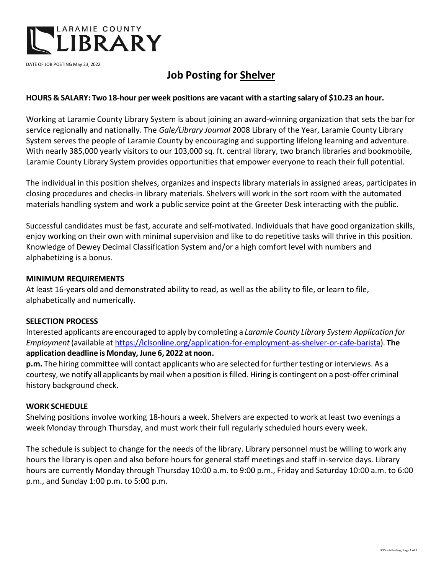

DATE OF JOB POSTING May 23, 2022

# **Job Posting for Shelver**

## **HOURS & SALARY: Two 18-hour per week positions are vacant with a starting salary of \$10.23 an hour.**

Working at Laramie County Library System is about joining an award-winning organization that sets the bar for service regionally and nationally. The *Gale/Library Journal* 2008 Library of the Year, Laramie County Library System serves the people of Laramie County by encouraging and supporting lifelong learning and adventure. With nearly 385,000 yearly visitors to our 103,000 sq. ft. central library, two branch libraries and bookmobile, Laramie County Library System provides opportunities that empower everyone to reach their full potential.

The individual in this position shelves, organizes and inspects library materials in assigned areas, participates in closing procedures and checks-in library materials. Shelvers will work in the sort room with the automated materials handling system and work a public service point at the Greeter Desk interacting with the public.

Successful candidates must be fast, accurate and self-motivated. Individuals that have good organization skills, enjoy working on their own with minimal supervision and like to do repetitive tasks will thrive in this position. Knowledge of Dewey Decimal Classification System and/or a high comfort level with numbers and alphabetizing is a bonus.

### **MINIMUM REQUIREMENTS**

At least 16-years old and demonstrated ability to read, as well as the ability to file, or learn to file, alphabetically and numerically.

#### **SELECTION PROCESS**

Interested applicants are encouraged to apply by completing a *Laramie County Library System Application for Employment* (available at [https://lclsonline.org/application-for-employment-as-shelver-or-cafe-barista\)](https://lclsonline.org/application-for-employment-as-shelver-or-cafe-barista). **The application deadline is Monday, June 6, 2022 at noon.**

**p.m.** The hiring committee will contact applicants who are selected for further testing or interviews. As a courtesy, we notify all applicants by mail when a position isfilled. Hiring is contingent on a post-offer criminal history background check.

#### **WORK SCHEDULE**

Shelving positions involve working 18-hours a week. Shelvers are expected to work at least two evenings a week Monday through Thursday, and must work their full regularly scheduled hours every week.

The schedule is subject to change for the needs of the library. Library personnel must be willing to work any hours the library is open and also before hours for general staff meetings and staff in-service days. Library hours are currently Monday through Thursday 10:00 a.m. to 9:00 p.m., Friday and Saturday 10:00 a.m. to 6:00 p.m., and Sunday 1:00 p.m. to 5:00 p.m.